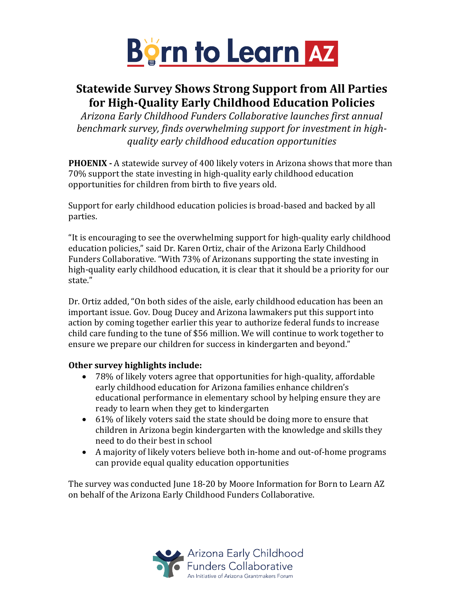

# **Statewide Survey Shows Strong Support from All Parties for High-Quality Early Childhood Education Policies**

*Arizona Early Childhood Funders Collaborative launches first annual*  benchmark survey, finds overwhelming support for investment in high*quality early childhood education opportunities*

**PHOENIX -** A statewide survey of 400 likely voters in Arizona shows that more than 70% support the state investing in high-quality early childhood education opportunities for children from birth to five years old.

Support for early childhood education policies is broad-based and backed by all parties.

"It is encouraging to see the overwhelming support for high-quality early childhood education policies," said Dr. Karen Ortiz, chair of the Arizona Early Childhood Funders Collaborative. "With 73% of Arizonans supporting the state investing in high-quality early childhood education, it is clear that it should be a priority for our state."

Dr. Ortiz added, "On both sides of the aisle, early childhood education has been an important issue. Gov. Doug Ducey and Arizona lawmakers put this support into action by coming together earlier this year to authorize federal funds to increase child care funding to the tune of \$56 million. We will continue to work together to ensure we prepare our children for success in kindergarten and beyond."

## **Other survey highlights include:**

- 78% of likely voters agree that opportunities for high-quality, affordable early childhood education for Arizona families enhance children's educational performance in elementary school by helping ensure they are ready to learn when they get to kindergarten
- 61% of likely voters said the state should be doing more to ensure that children in Arizona begin kindergarten with the knowledge and skills they need to do their best in school
- A majority of likely voters believe both in-home and out-of-home programs can provide equal quality education opportunities

The survey was conducted June 18-20 by Moore Information for Born to Learn AZ on behalf of the Arizona Early Childhood Funders Collaborative.